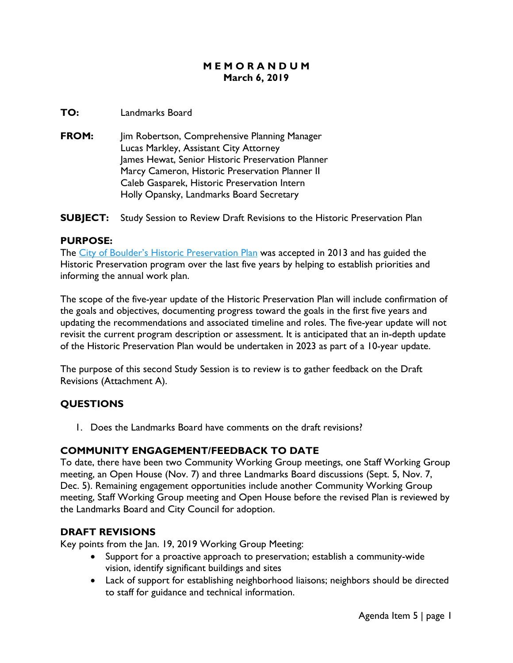#### **M E M O R A N D U M March 6, 2019**

#### **TO:** Landmarks Board

**FROM:** Jim Robertson, Comprehensive Planning Manager Lucas Markley, Assistant City Attorney James Hewat, Senior Historic Preservation Planner Marcy Cameron, Historic Preservation Planner II Caleb Gasparek, Historic Preservation Intern Holly Opansky, Landmarks Board Secretary

**SUBJECT:** Study Session to Review Draft Revisions to the Historic Preservation Plan

#### **PURPOSE:**

The [City of Boulder's Historic Preservation Plan](https://www-static.bouldercolorado.gov/docs/historic-preservation-plan-1-201311120831.pdf) was accepted in 2013 and has guided the Historic Preservation program over the last five years by helping to establish priorities and informing the annual work plan.

The scope of the five-year update of the Historic Preservation Plan will include confirmation of the goals and objectives, documenting progress toward the goals in the first five years and updating the recommendations and associated timeline and roles. The five-year update will not revisit the current program description or assessment. It is anticipated that an in-depth update of the Historic Preservation Plan would be undertaken in 2023 as part of a 10-year update.

The purpose of this second Study Session is to review is to gather feedback on the Draft Revisions (Attachment A).

#### **QUESTIONS**

1. Does the Landmarks Board have comments on the draft revisions?

#### **COMMUNITY ENGAGEMENT/FEEDBACK TO DATE**

To date, there have been two Community Working Group meetings, one Staff Working Group meeting, an Open House (Nov. 7) and three Landmarks Board discussions (Sept. 5, Nov. 7, Dec. 5). Remaining engagement opportunities include another Community Working Group meeting, Staff Working Group meeting and Open House before the revised Plan is reviewed by the Landmarks Board and City Council for adoption.

#### **DRAFT REVISIONS**

Key points from the Jan. 19, 2019 Working Group Meeting:

- Support for a proactive approach to preservation; establish a community-wide vision, identify significant buildings and sites
- Lack of support for establishing neighborhood liaisons; neighbors should be directed to staff for guidance and technical information.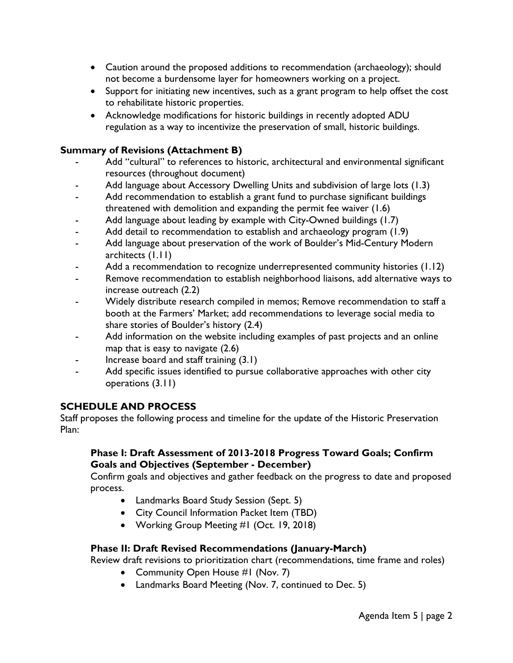- Caution around the proposed additions to recommendation (archaeology); should not become a burdensome layer for homeowners working on a project.
- Support for initiating new incentives, such as a grant program to help offset the cost to rehabilitate historic properties.
- Acknowledge modifications for historic buildings in recently adopted ADU regulation as a way to incentivize the preservation of small, historic buildings.

#### **Summary of Revisions (Attachment B)**

- Add "cultural" to references to historic, architectural and environmental significant resources (throughout document)
- Add language about Accessory Dwelling Units and subdivision of large lots (1.3)
- Add recommendation to establish a grant fund to purchase significant buildings threatened with demolition and expanding the permit fee waiver (1.6)
- Add language about leading by example with City-Owned buildings (1.7)
- Add detail to recommendation to establish and archaeology program (1.9)
- Add language about preservation of the work of Boulder's Mid-Century Modern architects (1.11)
- Add a recommendation to recognize underrepresented community histories (1.12)
- Remove recommendation to establish neighborhood liaisons, add alternative ways to increase outreach (2.2)
- Widely distribute research compiled in memos; Remove recommendation to staff a booth at the Farmers' Market; add recommendations to leverage social media to share stories of Boulder's history (2.4)
- Add information on the website including examples of past projects and an online map that is easy to navigate (2.6)
- Increase board and staff training (3.1)
- Add specific issues identified to pursue collaborative approaches with other city operations (3.11)

### **SCHEDULE AND PROCESS**

Staff proposes the following process and timeline for the update of the Historic Preservation Plan:

#### **Phase I: Draft Assessment of 2013-2018 Progress Toward Goals; Confirm Goals and Objectives (September - December)**

Confirm goals and objectives and gather feedback on the progress to date and proposed process.

- Landmarks Board Study Session (Sept. 5)
- City Council Information Packet Item (TBD)
- Working Group Meeting #1 (Oct. 19, 2018)

### **Phase II: Draft Revised Recommendations (January-March)**

Review draft revisions to prioritization chart (recommendations, time frame and roles)

- Community Open House #1 (Nov. 7)
- Landmarks Board Meeting (Nov. 7, continued to Dec. 5)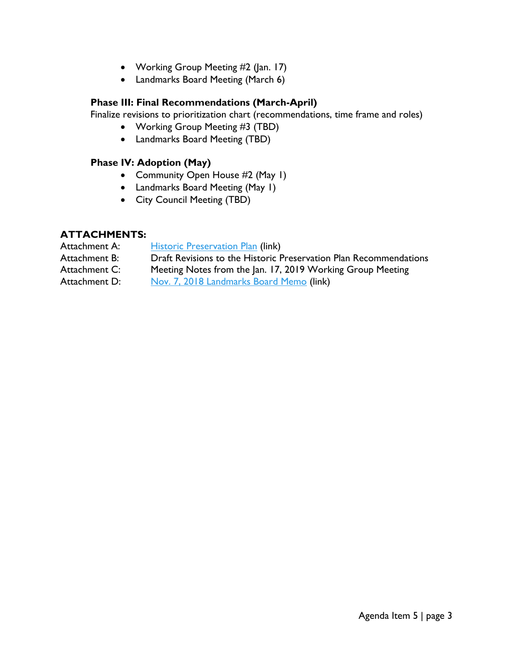- Working Group Meeting #2 (Jan. 17)
- Landmarks Board Meeting (March 6)

#### **Phase III: Final Recommendations (March-April)**

Finalize revisions to prioritization chart (recommendations, time frame and roles)

- Working Group Meeting #3 (TBD)
- Landmarks Board Meeting (TBD)

### **Phase IV: Adoption (May)**

- Community Open House #2 (May 1)
- Landmarks Board Meeting (May 1)
- City Council Meeting (TBD)

#### **ATTACHMENTS:**

| Attachment A: | <b>Historic Preservation Plan (link)</b>                          |
|---------------|-------------------------------------------------------------------|
| Attachment B: | Draft Revisions to the Historic Preservation Plan Recommendations |
| Attachment C: | Meeting Notes from the Jan. 17, 2019 Working Group Meeting        |
| Attachment D: | Nov. 7, 2018 Landmarks Board Memo (link)                          |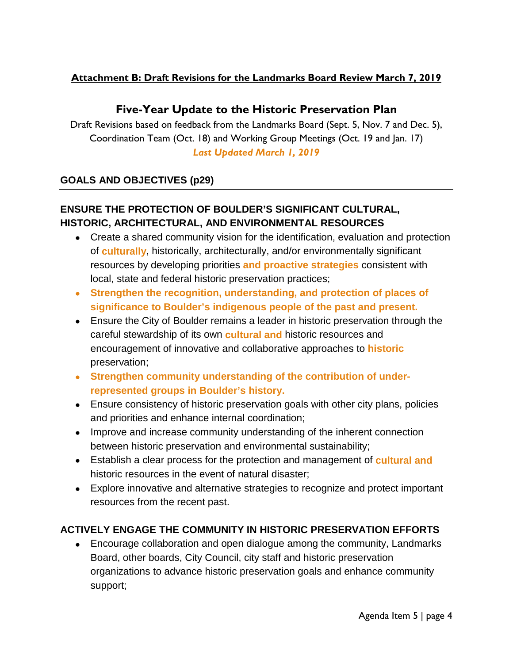### **Attachment B: Draft Revisions for the Landmarks Board Review March 7, 2019**

# **Five-Year Update to the Historic Preservation Plan**

Draft Revisions based on feedback from the Landmarks Board (Sept. 5, Nov. 7 and Dec. 5), Coordination Team (Oct. 18) and Working Group Meetings (Oct. 19 and Jan. 17) *Last Updated March 1, 2019*

### **GOALS AND OBJECTIVES (p29)**

# **ENSURE THE PROTECTION OF BOULDER'S SIGNIFICANT CULTURAL, HISTORIC, ARCHITECTURAL, AND ENVIRONMENTAL RESOURCES**

- Create a shared community vision for the identification, evaluation and protection of **culturally**, historically, architecturally, and/or environmentally significant resources by developing priorities **and proactive strategies** consistent with local, state and federal historic preservation practices;
- **Strengthen the recognition, understanding, and protection of places of significance to Boulder's indigenous people of the past and present.**
- Ensure the City of Boulder remains a leader in historic preservation through the careful stewardship of its own **cultural and** historic resources and encouragement of innovative and collaborative approaches to **historic** preservation;
- **Strengthen community understanding of the contribution of underrepresented groups in Boulder's history.**
- Ensure consistency of historic preservation goals with other city plans, policies and priorities and enhance internal coordination;
- Improve and increase community understanding of the inherent connection between historic preservation and environmental sustainability;
- Establish a clear process for the protection and management of **cultural and** historic resources in the event of natural disaster;
- Explore innovative and alternative strategies to recognize and protect important resources from the recent past.

### **ACTIVELY ENGAGE THE COMMUNITY IN HISTORIC PRESERVATION EFFORTS**

• Encourage collaboration and open dialogue among the community, Landmarks Board, other boards, City Council, city staff and historic preservation organizations to advance historic preservation goals and enhance community support;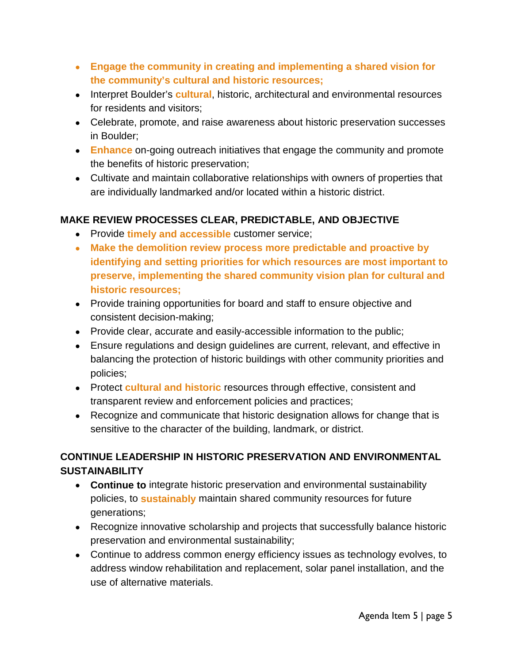- **Engage the community in creating and implementing a shared vision for the community's cultural and historic resources;**
- Interpret Boulder's **cultural**, historic, architectural and environmental resources for residents and visitors;
- Celebrate, promote, and raise awareness about historic preservation successes in Boulder;
- **Enhance** on-going outreach initiatives that engage the community and promote the benefits of historic preservation;
- Cultivate and maintain collaborative relationships with owners of properties that are individually landmarked and/or located within a historic district.

### **MAKE REVIEW PROCESSES CLEAR, PREDICTABLE, AND OBJECTIVE**

- Provide **timely and accessible** customer service;
- **Make the demolition review process more predictable and proactive by identifying and setting priorities for which resources are most important to preserve, implementing the shared community vision plan for cultural and historic resources;**
- Provide training opportunities for board and staff to ensure objective and consistent decision-making;
- Provide clear, accurate and easily-accessible information to the public;
- Ensure regulations and design guidelines are current, relevant, and effective in balancing the protection of historic buildings with other community priorities and policies;
- Protect **cultural and historic** resources through effective, consistent and transparent review and enforcement policies and practices;
- Recognize and communicate that historic designation allows for change that is sensitive to the character of the building, landmark, or district.

# **CONTINUE LEADERSHIP IN HISTORIC PRESERVATION AND ENVIRONMENTAL SUSTAINABILITY**

- **Continue to** integrate historic preservation and environmental sustainability policies, to **sustainably** maintain shared community resources for future generations;
- Recognize innovative scholarship and projects that successfully balance historic preservation and environmental sustainability;
- Continue to address common energy efficiency issues as technology evolves, to address window rehabilitation and replacement, solar panel installation, and the use of alternative materials.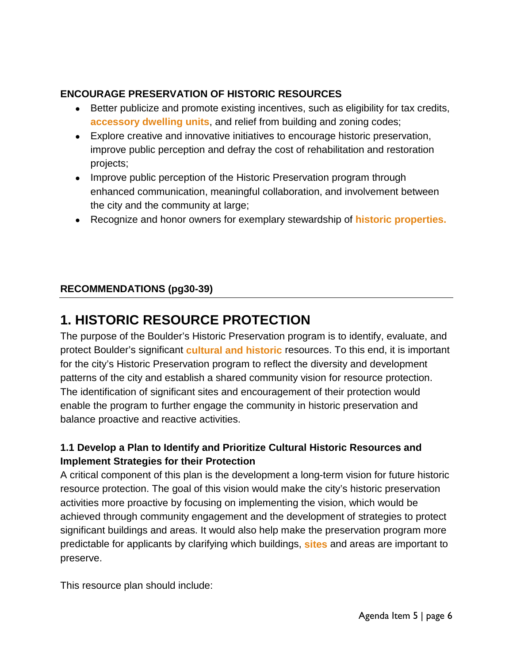## **ENCOURAGE PRESERVATION OF HISTORIC RESOURCES**

- Better publicize and promote existing incentives, such as eligibility for tax credits, **accessory dwelling units**, and relief from building and zoning codes;
- Explore creative and innovative initiatives to encourage historic preservation, improve public perception and defray the cost of rehabilitation and restoration projects;
- Improve public perception of the Historic Preservation program through enhanced communication, meaningful collaboration, and involvement between the city and the community at large;
- Recognize and honor owners for exemplary stewardship of **historic properties.**

# **RECOMMENDATIONS (pg30-39)**

# **1. HISTORIC RESOURCE PROTECTION**

The purpose of the Boulder's Historic Preservation program is to identify, evaluate, and protect Boulder's significant **cultural and historic** resources. To this end, it is important for the city's Historic Preservation program to reflect the diversity and development patterns of the city and establish a shared community vision for resource protection. The identification of significant sites and encouragement of their protection would enable the program to further engage the community in historic preservation and balance proactive and reactive activities.

# **1.1 Develop a Plan to Identify and Prioritize Cultural Historic Resources and Implement Strategies for their Protection**

A critical component of this plan is the development a long-term vision for future historic resource protection. The goal of this vision would make the city's historic preservation activities more proactive by focusing on implementing the vision, which would be achieved through community engagement and the development of strategies to protect significant buildings and areas. It would also help make the preservation program more predictable for applicants by clarifying which buildings, **sites** and areas are important to preserve.

This resource plan should include: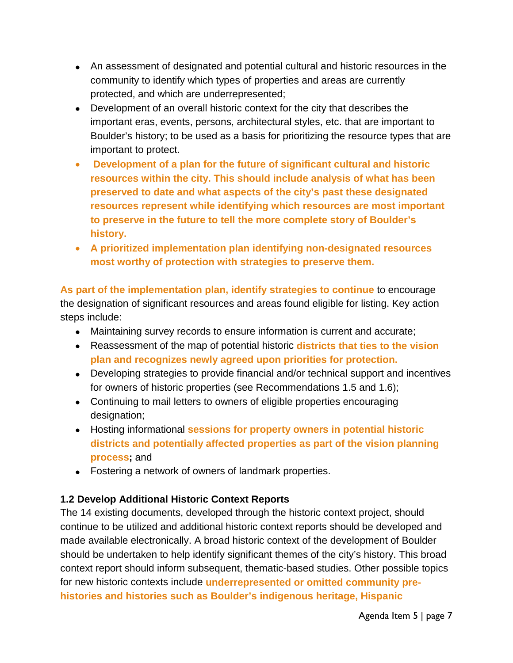- An assessment of designated and potential cultural and historic resources in the community to identify which types of properties and areas are currently protected, and which are underrepresented;
- Development of an overall historic context for the city that describes the important eras, events, persons, architectural styles, etc. that are important to Boulder's history; to be used as a basis for prioritizing the resource types that are important to protect.
- **Development of a plan for the future of significant cultural and historic resources within the city. This should include analysis of what has been preserved to date and what aspects of the city's past these designated resources represent while identifying which resources are most important to preserve in the future to tell the more complete story of Boulder's history.**
- **A prioritized implementation plan identifying non-designated resources most worthy of protection with strategies to preserve them.**

**As part of the implementation plan, identify strategies to continue** to encourage the designation of significant resources and areas found eligible for listing. Key action steps include:

- Maintaining survey records to ensure information is current and accurate;
- Reassessment of the map of potential historic **districts that ties to the vision plan and recognizes newly agreed upon priorities for protection.**
- Developing strategies to provide financial and/or technical support and incentives for owners of historic properties (see Recommendations 1.5 and 1.6);
- Continuing to mail letters to owners of eligible properties encouraging designation;
- Hosting informational **sessions for property owners in potential historic districts and potentially affected properties as part of the vision planning process;** and
- Fostering a network of owners of landmark properties.

### **1.2 Develop Additional Historic Context Reports**

The 14 existing documents, developed through the historic context project, should continue to be utilized and additional historic context reports should be developed and made available electronically. A broad historic context of the development of Boulder should be undertaken to help identify significant themes of the city's history. This broad context report should inform subsequent, thematic-based studies. Other possible topics for new historic contexts include **underrepresented or omitted community prehistories and histories such as Boulder's indigenous heritage, Hispanic**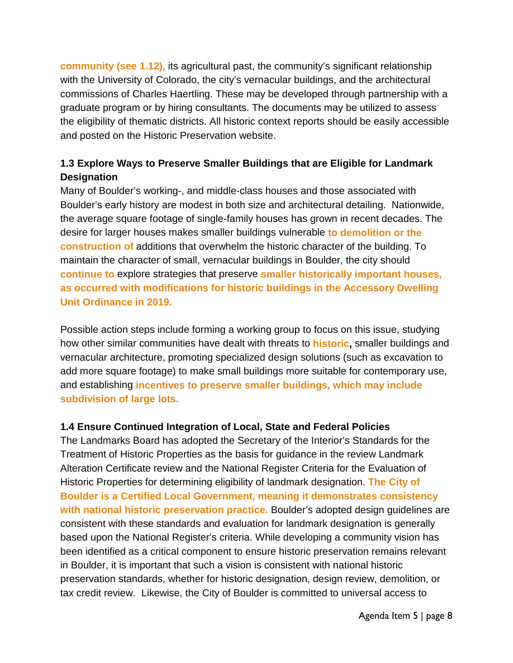**community (see 1.12),** its agricultural past, the community's significant relationship with the University of Colorado, the city's vernacular buildings, and the architectural commissions of Charles Haertling. These may be developed through partnership with a graduate program or by hiring consultants. The documents may be utilized to assess the eligibility of thematic districts. All historic context reports should be easily accessible and posted on the Historic Preservation website.

## **1.3 Explore Ways to Preserve Smaller Buildings that are Eligible for Landmark Designation**

Many of Boulder's working-, and middle-class houses and those associated with Boulder's early history are modest in both size and architectural detailing. Nationwide, the average square footage of single-family houses has grown in recent decades. The desire for larger houses makes smaller buildings vulnerable **to demolition or the construction of** additions that overwhelm the historic character of the building. To maintain the character of small, vernacular buildings in Boulder, the city should **continue to** explore strategies that preserve **smaller historically important houses, as occurred with modifications for historic buildings in the Accessory Dwelling Unit Ordinance in 2019.**

Possible action steps include forming a working group to focus on this issue, studying how other similar communities have dealt with threats to **historic,** smaller buildings and vernacular architecture, promoting specialized design solutions (such as excavation to add more square footage) to make small buildings more suitable for contemporary use, and establishing **incentives to preserve smaller buildings, which may include subdivision of large lots.**

#### **1.4 Ensure Continued Integration of Local, State and Federal Policies**

The Landmarks Board has adopted the Secretary of the Interior's Standards for the Treatment of Historic Properties as the basis for guidance in the review Landmark Alteration Certificate review and the National Register Criteria for the Evaluation of Historic Properties for determining eligibility of landmark designation. **The City of Boulder is a Certified Local Government, meaning it demonstrates consistency with national historic preservation practice.** Boulder's adopted design guidelines are consistent with these standards and evaluation for landmark designation is generally based upon the National Register's criteria. While developing a community vision has been identified as a critical component to ensure historic preservation remains relevant in Boulder, it is important that such a vision is consistent with national historic preservation standards, whether for historic designation, design review, demolition, or tax credit review. Likewise, the City of Boulder is committed to universal access to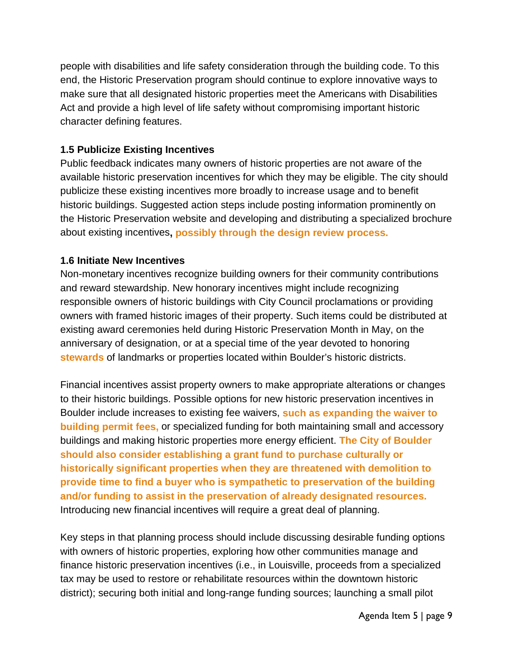people with disabilities and life safety consideration through the building code. To this end, the Historic Preservation program should continue to explore innovative ways to make sure that all designated historic properties meet the Americans with Disabilities Act and provide a high level of life safety without compromising important historic character defining features.

### **1.5 Publicize Existing Incentives**

Public feedback indicates many owners of historic properties are not aware of the available historic preservation incentives for which they may be eligible. The city should publicize these existing incentives more broadly to increase usage and to benefit historic buildings. Suggested action steps include posting information prominently on the Historic Preservation website and developing and distributing a specialized brochure about existing incentives**, possibly through the design review process.**

### **1.6 Initiate New Incentives**

Non-monetary incentives recognize building owners for their community contributions and reward stewardship. New honorary incentives might include recognizing responsible owners of historic buildings with City Council proclamations or providing owners with framed historic images of their property. Such items could be distributed at existing award ceremonies held during Historic Preservation Month in May, on the anniversary of designation, or at a special time of the year devoted to honoring **stewards** of landmarks or properties located within Boulder's historic districts.

Financial incentives assist property owners to make appropriate alterations or changes to their historic buildings. Possible options for new historic preservation incentives in Boulder include increases to existing fee waivers, **such as expanding the waiver to building permit fees,** or specialized funding for both maintaining small and accessory buildings and making historic properties more energy efficient. **The City of Boulder should also consider establishing a grant fund to purchase culturally or historically significant properties when they are threatened with demolition to provide time to find a buyer who is sympathetic to preservation of the building and/or funding to assist in the preservation of already designated resources.** Introducing new financial incentives will require a great deal of planning.

Key steps in that planning process should include discussing desirable funding options with owners of historic properties, exploring how other communities manage and finance historic preservation incentives (i.e., in Louisville, proceeds from a specialized tax may be used to restore or rehabilitate resources within the downtown historic district); securing both initial and long-range funding sources; launching a small pilot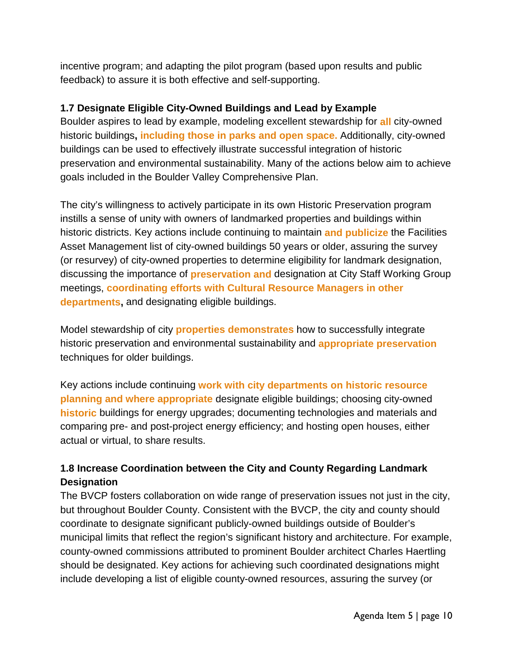incentive program; and adapting the pilot program (based upon results and public feedback) to assure it is both effective and self-supporting.

### **1.7 Designate Eligible City-Owned Buildings and Lead by Example**

Boulder aspires to lead by example, modeling excellent stewardship for **all** city-owned historic buildings**, including those in parks and open space.** Additionally, city-owned buildings can be used to effectively illustrate successful integration of historic preservation and environmental sustainability. Many of the actions below aim to achieve goals included in the Boulder Valley Comprehensive Plan.

The city's willingness to actively participate in its own Historic Preservation program instills a sense of unity with owners of landmarked properties and buildings within historic districts. Key actions include continuing to maintain **and publicize** the Facilities Asset Management list of city-owned buildings 50 years or older, assuring the survey (or resurvey) of city-owned properties to determine eligibility for landmark designation, discussing the importance of **preservation and** designation at City Staff Working Group meetings, **coordinating efforts with Cultural Resource Managers in other departments,** and designating eligible buildings.

Model stewardship of city **properties demonstrates** how to successfully integrate historic preservation and environmental sustainability and **appropriate preservation** techniques for older buildings.

Key actions include continuing **work with city departments on historic resource planning and where appropriate** designate eligible buildings; choosing city-owned **historic** buildings for energy upgrades; documenting technologies and materials and comparing pre- and post-project energy efficiency; and hosting open houses, either actual or virtual, to share results.

## **1.8 Increase Coordination between the City and County Regarding Landmark Designation**

The BVCP fosters collaboration on wide range of preservation issues not just in the city, but throughout Boulder County. Consistent with the BVCP, the city and county should coordinate to designate significant publicly-owned buildings outside of Boulder's municipal limits that reflect the region's significant history and architecture. For example, county-owned commissions attributed to prominent Boulder architect Charles Haertling should be designated. Key actions for achieving such coordinated designations might include developing a list of eligible county-owned resources, assuring the survey (or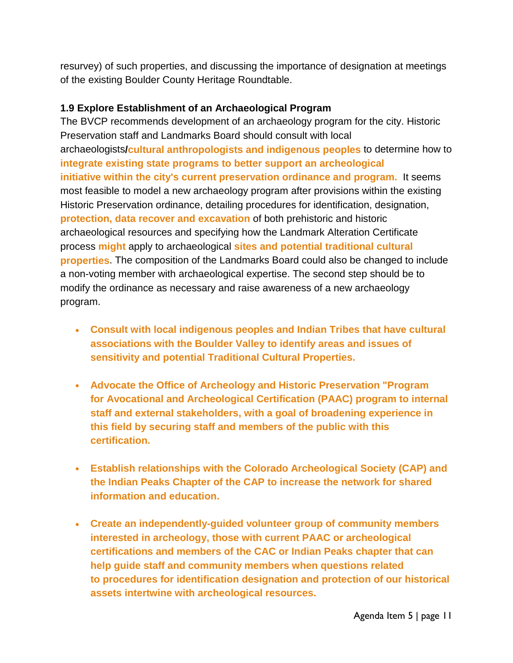resurvey) of such properties, and discussing the importance of designation at meetings of the existing Boulder County Heritage Roundtable.

### **1.9 Explore Establishment of an Archaeological Program**

The BVCP recommends development of an archaeology program for the city. Historic Preservation staff and Landmarks Board should consult with local archaeologists**/cultural anthropologists and indigenous peoples** to determine how to **integrate existing state programs to better support an archeological initiative within the city's current preservation ordinance and program.** It seems most feasible to model a new archaeology program after provisions within the existing Historic Preservation ordinance, detailing procedures for identification, designation, **protection, data recover and excavation** of both prehistoric and historic archaeological resources and specifying how the Landmark Alteration Certificate process **might** apply to archaeological **sites and potential traditional cultural properties**. The composition of the Landmarks Board could also be changed to include a non-voting member with archaeological expertise. The second step should be to modify the ordinance as necessary and raise awareness of a new archaeology program.

- **Consult with local indigenous peoples and Indian Tribes that have cultural associations with the Boulder Valley to identify areas and issues of sensitivity and potential Traditional Cultural Properties.**
- **Advocate the Office of Archeology and Historic Preservation "Program for Avocational and Archeological Certification (PAAC) program to internal staff and external stakeholders, with a goal of broadening experience in this field by securing staff and members of the public with this certification.**
- **Establish relationships with the Colorado Archeological Society (CAP) and the Indian Peaks Chapter of the CAP to increase the network for shared information and education.**
- **Create an independently-guided volunteer group of community members interested in archeology, those with current PAAC or archeological certifications and members of the CAC or Indian Peaks chapter that can help guide staff and community members when questions related to procedures for identification designation and protection of our historical assets intertwine with archeological resources.**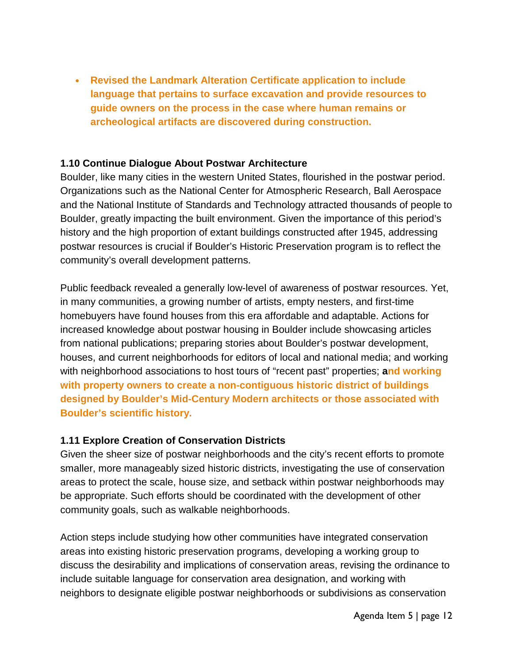• **Revised the Landmark Alteration Certificate application to include language that pertains to surface excavation and provide resources to guide owners on the process in the case where human remains or archeological artifacts are discovered during construction.**

#### **1.10 Continue Dialogue About Postwar Architecture**

Boulder, like many cities in the western United States, flourished in the postwar period. Organizations such as the National Center for Atmospheric Research, Ball Aerospace and the National Institute of Standards and Technology attracted thousands of people to Boulder, greatly impacting the built environment. Given the importance of this period's history and the high proportion of extant buildings constructed after 1945, addressing postwar resources is crucial if Boulder's Historic Preservation program is to reflect the community's overall development patterns.

Public feedback revealed a generally low-level of awareness of postwar resources. Yet, in many communities, a growing number of artists, empty nesters, and first-time homebuyers have found houses from this era affordable and adaptable. Actions for increased knowledge about postwar housing in Boulder include showcasing articles from national publications; preparing stories about Boulder's postwar development, houses, and current neighborhoods for editors of local and national media; and working with neighborhood associations to host tours of "recent past" properties; **and working with property owners to create a non-contiguous historic district of buildings designed by Boulder's Mid-Century Modern architects or those associated with Boulder's scientific history.**

#### **1.11 Explore Creation of Conservation Districts**

Given the sheer size of postwar neighborhoods and the city's recent efforts to promote smaller, more manageably sized historic districts, investigating the use of conservation areas to protect the scale, house size, and setback within postwar neighborhoods may be appropriate. Such efforts should be coordinated with the development of other community goals, such as walkable neighborhoods.

Action steps include studying how other communities have integrated conservation areas into existing historic preservation programs, developing a working group to discuss the desirability and implications of conservation areas, revising the ordinance to include suitable language for conservation area designation, and working with neighbors to designate eligible postwar neighborhoods or subdivisions as conservation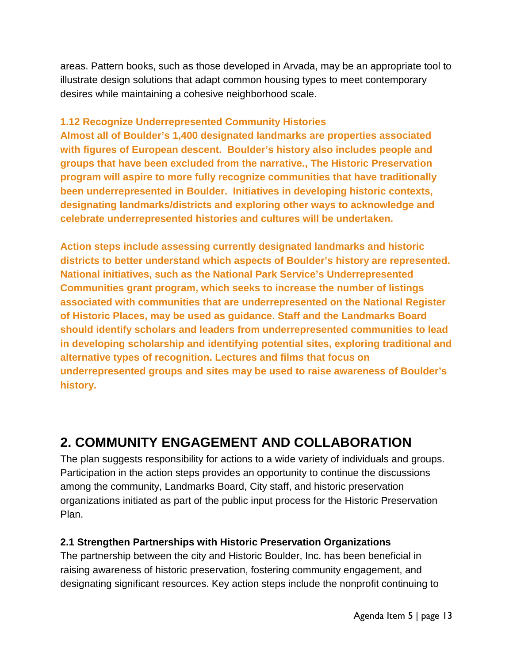areas. Pattern books, such as those developed in Arvada, may be an appropriate tool to illustrate design solutions that adapt common housing types to meet contemporary desires while maintaining a cohesive neighborhood scale.

### **1.12 Recognize Underrepresented Community Histories**

**Almost all of Boulder's 1,400 designated landmarks are properties associated with figures of European descent. Boulder's history also includes people and groups that have been excluded from the narrative., The Historic Preservation program will aspire to more fully recognize communities that have traditionally been underrepresented in Boulder. Initiatives in developing historic contexts, designating landmarks/districts and exploring other ways to acknowledge and celebrate underrepresented histories and cultures will be undertaken.** 

**Action steps include assessing currently designated landmarks and historic districts to better understand which aspects of Boulder's history are represented. National initiatives, such as the National Park Service's Underrepresented Communities grant program, which seeks to increase the number of listings associated with communities that are underrepresented on the National Register of Historic Places, may be used as guidance. Staff and the Landmarks Board should identify scholars and leaders from underrepresented communities to lead in developing scholarship and identifying potential sites, exploring traditional and alternative types of recognition. Lectures and films that focus on underrepresented groups and sites may be used to raise awareness of Boulder's history.** 

# **2. COMMUNITY ENGAGEMENT AND COLLABORATION**

The plan suggests responsibility for actions to a wide variety of individuals and groups. Participation in the action steps provides an opportunity to continue the discussions among the community, Landmarks Board, City staff, and historic preservation organizations initiated as part of the public input process for the Historic Preservation Plan.

### **2.1 Strengthen Partnerships with Historic Preservation Organizations**

The partnership between the city and Historic Boulder, Inc. has been beneficial in raising awareness of historic preservation, fostering community engagement, and designating significant resources. Key action steps include the nonprofit continuing to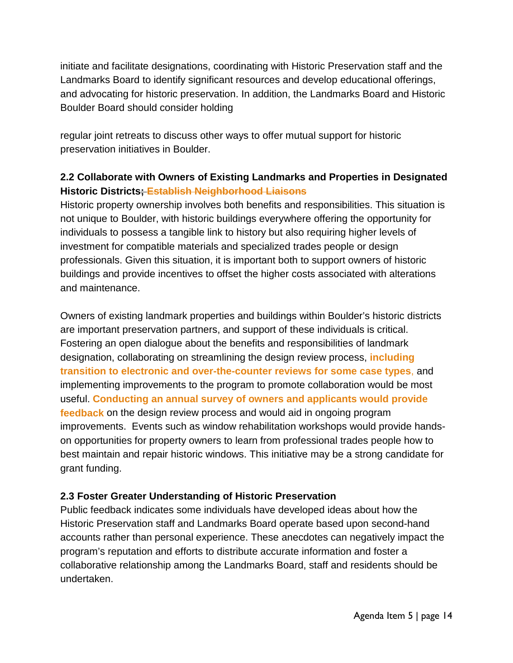initiate and facilitate designations, coordinating with Historic Preservation staff and the Landmarks Board to identify significant resources and develop educational offerings, and advocating for historic preservation. In addition, the Landmarks Board and Historic Boulder Board should consider holding

regular joint retreats to discuss other ways to offer mutual support for historic preservation initiatives in Boulder.

# **2.2 Collaborate with Owners of Existing Landmarks and Properties in Designated Historic Districts; Establish Neighborhood Liaisons**

Historic property ownership involves both benefits and responsibilities. This situation is not unique to Boulder, with historic buildings everywhere offering the opportunity for individuals to possess a tangible link to history but also requiring higher levels of investment for compatible materials and specialized trades people or design professionals. Given this situation, it is important both to support owners of historic buildings and provide incentives to offset the higher costs associated with alterations and maintenance.

Owners of existing landmark properties and buildings within Boulder's historic districts are important preservation partners, and support of these individuals is critical. Fostering an open dialogue about the benefits and responsibilities of landmark designation, collaborating on streamlining the design review process, **including transition to electronic and over-the-counter reviews for some case types**, and implementing improvements to the program to promote collaboration would be most useful. **Conducting an annual survey of owners and applicants would provide feedback** on the design review process and would aid in ongoing program improvements. Events such as window rehabilitation workshops would provide handson opportunities for property owners to learn from professional trades people how to best maintain and repair historic windows. This initiative may be a strong candidate for grant funding.

### **2.3 Foster Greater Understanding of Historic Preservation**

Public feedback indicates some individuals have developed ideas about how the Historic Preservation staff and Landmarks Board operate based upon second-hand accounts rather than personal experience. These anecdotes can negatively impact the program's reputation and efforts to distribute accurate information and foster a collaborative relationship among the Landmarks Board, staff and residents should be undertaken.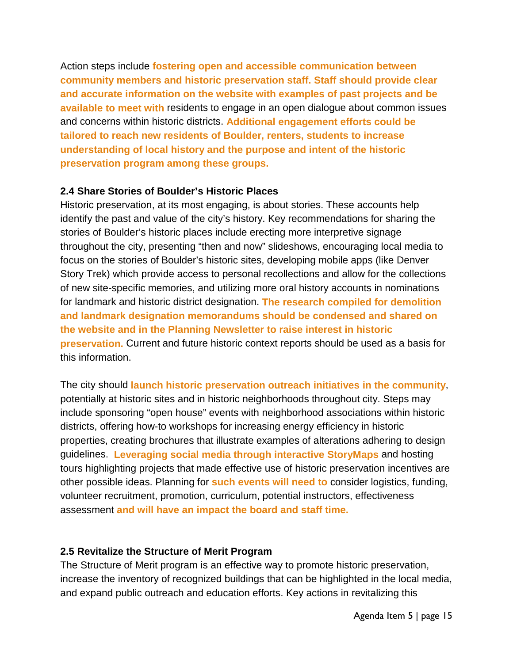Action steps include **fostering open and accessible communication between community members and historic preservation staff. Staff should provide clear and accurate information on the website with examples of past projects and be available to meet with** residents to engage in an open dialogue about common issues and concerns within historic districts. **Additional engagement efforts could be tailored to reach new residents of Boulder, renters, students to increase understanding of local history and the purpose and intent of the historic preservation program among these groups.** 

#### **2.4 Share Stories of Boulder's Historic Places**

Historic preservation, at its most engaging, is about stories. These accounts help identify the past and value of the city's history. Key recommendations for sharing the stories of Boulder's historic places include erecting more interpretive signage throughout the city, presenting "then and now" slideshows, encouraging local media to focus on the stories of Boulder's historic sites, developing mobile apps (like Denver Story Trek) which provide access to personal recollections and allow for the collections of new site-specific memories, and utilizing more oral history accounts in nominations for landmark and historic district designation. **The research compiled for demolition and landmark designation memorandums should be condensed and shared on the website and in the Planning Newsletter to raise interest in historic preservation.** Current and future historic context reports should be used as a basis for this information.

The city should **launch historic preservation outreach initiatives in the community**, potentially at historic sites and in historic neighborhoods throughout city. Steps may include sponsoring "open house" events with neighborhood associations within historic districts, offering how-to workshops for increasing energy efficiency in historic properties, creating brochures that illustrate examples of alterations adhering to design guidelines. **Leveraging social media through interactive StoryMaps** and hosting tours highlighting projects that made effective use of historic preservation incentives are other possible ideas. Planning for **such events will need to** consider logistics, funding, volunteer recruitment, promotion, curriculum, potential instructors, effectiveness assessment **and will have an impact the board and staff time.**

#### **2.5 Revitalize the Structure of Merit Program**

The Structure of Merit program is an effective way to promote historic preservation, increase the inventory of recognized buildings that can be highlighted in the local media, and expand public outreach and education efforts. Key actions in revitalizing this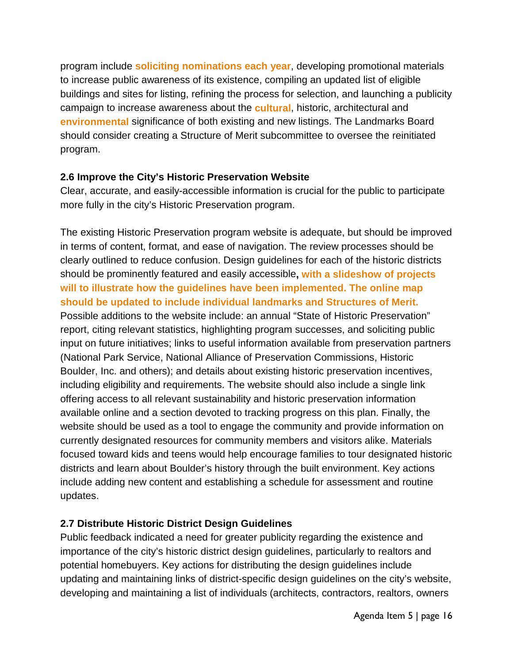program include **soliciting nominations each year**, developing promotional materials to increase public awareness of its existence, compiling an updated list of eligible buildings and sites for listing, refining the process for selection, and launching a publicity campaign to increase awareness about the **cultural**, historic, architectural and **environmental** significance of both existing and new listings. The Landmarks Board should consider creating a Structure of Merit subcommittee to oversee the reinitiated program.

### **2.6 Improve the City's Historic Preservation Website**

Clear, accurate, and easily-accessible information is crucial for the public to participate more fully in the city's Historic Preservation program.

The existing Historic Preservation program website is adequate, but should be improved in terms of content, format, and ease of navigation. The review processes should be clearly outlined to reduce confusion. Design guidelines for each of the historic districts should be prominently featured and easily accessible**, with a slideshow of projects will to illustrate how the guidelines have been implemented. The online map should be updated to include individual landmarks and Structures of Merit.** Possible additions to the website include: an annual "State of Historic Preservation" report, citing relevant statistics, highlighting program successes, and soliciting public input on future initiatives; links to useful information available from preservation partners (National Park Service, National Alliance of Preservation Commissions, Historic Boulder, Inc. and others); and details about existing historic preservation incentives, including eligibility and requirements. The website should also include a single link offering access to all relevant sustainability and historic preservation information available online and a section devoted to tracking progress on this plan. Finally, the website should be used as a tool to engage the community and provide information on currently designated resources for community members and visitors alike. Materials focused toward kids and teens would help encourage families to tour designated historic districts and learn about Boulder's history through the built environment. Key actions include adding new content and establishing a schedule for assessment and routine updates.

### **2.7 Distribute Historic District Design Guidelines**

Public feedback indicated a need for greater publicity regarding the existence and importance of the city's historic district design guidelines, particularly to realtors and potential homebuyers. Key actions for distributing the design guidelines include updating and maintaining links of district-specific design guidelines on the city's website, developing and maintaining a list of individuals (architects, contractors, realtors, owners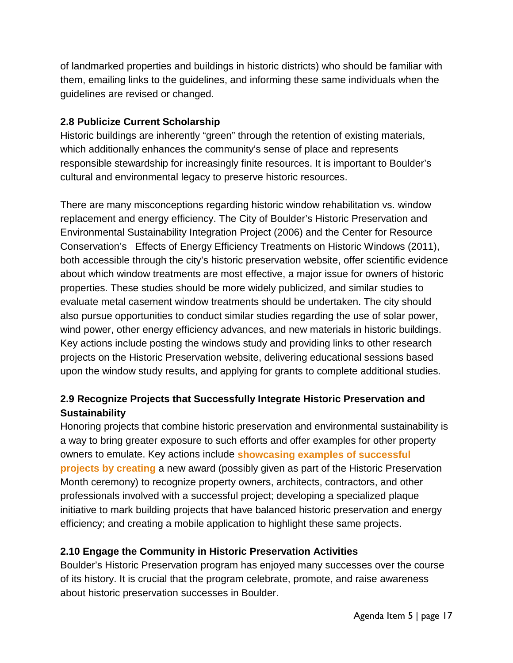of landmarked properties and buildings in historic districts) who should be familiar with them, emailing links to the guidelines, and informing these same individuals when the guidelines are revised or changed.

### **2.8 Publicize Current Scholarship**

Historic buildings are inherently "green" through the retention of existing materials, which additionally enhances the community's sense of place and represents responsible stewardship for increasingly finite resources. It is important to Boulder's cultural and environmental legacy to preserve historic resources.

There are many misconceptions regarding historic window rehabilitation vs. window replacement and energy efficiency. The City of Boulder's Historic Preservation and Environmental Sustainability Integration Project (2006) and the Center for Resource Conservation's Effects of Energy Efficiency Treatments on Historic Windows (2011), both accessible through the city's historic preservation website, offer scientific evidence about which window treatments are most effective, a major issue for owners of historic properties. These studies should be more widely publicized, and similar studies to evaluate metal casement window treatments should be undertaken. The city should also pursue opportunities to conduct similar studies regarding the use of solar power, wind power, other energy efficiency advances, and new materials in historic buildings. Key actions include posting the windows study and providing links to other research projects on the Historic Preservation website, delivering educational sessions based upon the window study results, and applying for grants to complete additional studies.

# **2.9 Recognize Projects that Successfully Integrate Historic Preservation and Sustainability**

Honoring projects that combine historic preservation and environmental sustainability is a way to bring greater exposure to such efforts and offer examples for other property owners to emulate. Key actions include **showcasing examples of successful projects by creating** a new award (possibly given as part of the Historic Preservation Month ceremony) to recognize property owners, architects, contractors, and other professionals involved with a successful project; developing a specialized plaque initiative to mark building projects that have balanced historic preservation and energy efficiency; and creating a mobile application to highlight these same projects.

### **2.10 Engage the Community in Historic Preservation Activities**

Boulder's Historic Preservation program has enjoyed many successes over the course of its history. It is crucial that the program celebrate, promote, and raise awareness about historic preservation successes in Boulder.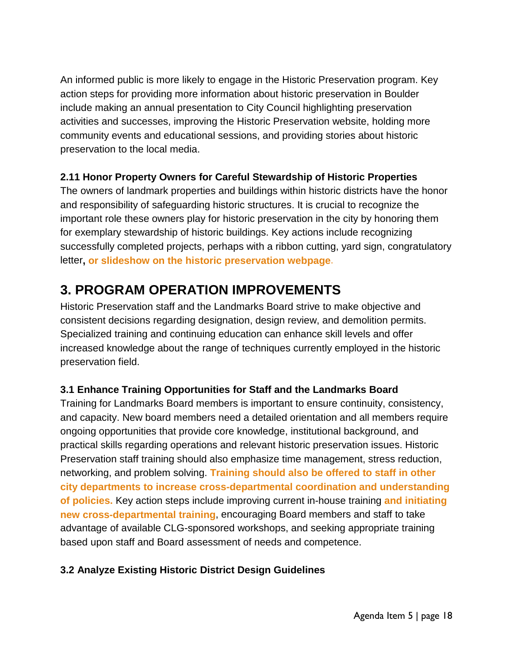An informed public is more likely to engage in the Historic Preservation program. Key action steps for providing more information about historic preservation in Boulder include making an annual presentation to City Council highlighting preservation activities and successes, improving the Historic Preservation website, holding more community events and educational sessions, and providing stories about historic preservation to the local media.

## **2.11 Honor Property Owners for Careful Stewardship of Historic Properties**

The owners of landmark properties and buildings within historic districts have the honor and responsibility of safeguarding historic structures. It is crucial to recognize the important role these owners play for historic preservation in the city by honoring them for exemplary stewardship of historic buildings. Key actions include recognizing successfully completed projects, perhaps with a ribbon cutting, yard sign, congratulatory letter**, or slideshow on the historic preservation webpage**.

# **3. PROGRAM OPERATION IMPROVEMENTS**

Historic Preservation staff and the Landmarks Board strive to make objective and consistent decisions regarding designation, design review, and demolition permits. Specialized training and continuing education can enhance skill levels and offer increased knowledge about the range of techniques currently employed in the historic preservation field.

### **3.1 Enhance Training Opportunities for Staff and the Landmarks Board**

Training for Landmarks Board members is important to ensure continuity, consistency, and capacity. New board members need a detailed orientation and all members require ongoing opportunities that provide core knowledge, institutional background, and practical skills regarding operations and relevant historic preservation issues. Historic Preservation staff training should also emphasize time management, stress reduction, networking, and problem solving. **Training should also be offered to staff in other city departments to increase cross-departmental coordination and understanding of policies.** Key action steps include improving current in-house training **and initiating new cross-departmental training**, encouraging Board members and staff to take advantage of available CLG-sponsored workshops, and seeking appropriate training based upon staff and Board assessment of needs and competence.

# **3.2 Analyze Existing Historic District Design Guidelines**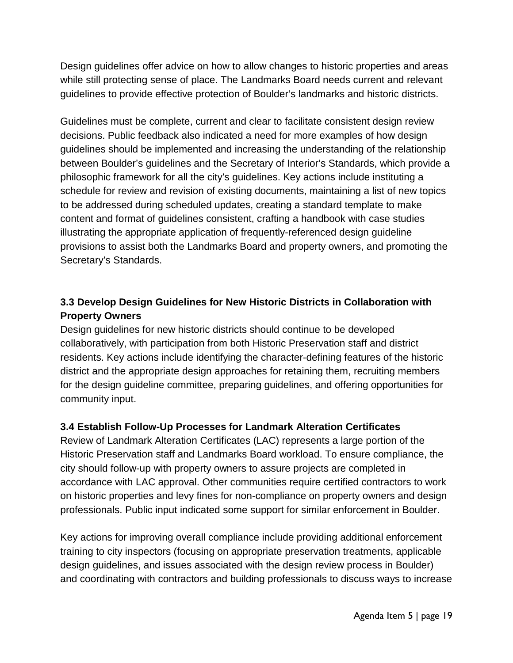Design guidelines offer advice on how to allow changes to historic properties and areas while still protecting sense of place. The Landmarks Board needs current and relevant guidelines to provide effective protection of Boulder's landmarks and historic districts.

Guidelines must be complete, current and clear to facilitate consistent design review decisions. Public feedback also indicated a need for more examples of how design guidelines should be implemented and increasing the understanding of the relationship between Boulder's guidelines and the Secretary of Interior's Standards, which provide a philosophic framework for all the city's guidelines. Key actions include instituting a schedule for review and revision of existing documents, maintaining a list of new topics to be addressed during scheduled updates, creating a standard template to make content and format of guidelines consistent, crafting a handbook with case studies illustrating the appropriate application of frequently-referenced design guideline provisions to assist both the Landmarks Board and property owners, and promoting the Secretary's Standards.

# **3.3 Develop Design Guidelines for New Historic Districts in Collaboration with Property Owners**

Design guidelines for new historic districts should continue to be developed collaboratively, with participation from both Historic Preservation staff and district residents. Key actions include identifying the character-defining features of the historic district and the appropriate design approaches for retaining them, recruiting members for the design guideline committee, preparing guidelines, and offering opportunities for community input.

### **3.4 Establish Follow-Up Processes for Landmark Alteration Certificates**

Review of Landmark Alteration Certificates (LAC) represents a large portion of the Historic Preservation staff and Landmarks Board workload. To ensure compliance, the city should follow-up with property owners to assure projects are completed in accordance with LAC approval. Other communities require certified contractors to work on historic properties and levy fines for non-compliance on property owners and design professionals. Public input indicated some support for similar enforcement in Boulder.

Key actions for improving overall compliance include providing additional enforcement training to city inspectors (focusing on appropriate preservation treatments, applicable design guidelines, and issues associated with the design review process in Boulder) and coordinating with contractors and building professionals to discuss ways to increase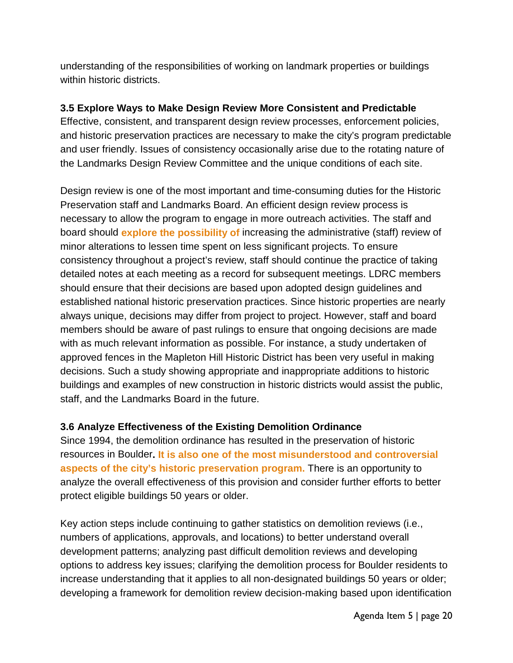understanding of the responsibilities of working on landmark properties or buildings within historic districts.

### **3.5 Explore Ways to Make Design Review More Consistent and Predictable**

Effective, consistent, and transparent design review processes, enforcement policies, and historic preservation practices are necessary to make the city's program predictable and user friendly. Issues of consistency occasionally arise due to the rotating nature of the Landmarks Design Review Committee and the unique conditions of each site.

Design review is one of the most important and time-consuming duties for the Historic Preservation staff and Landmarks Board. An efficient design review process is necessary to allow the program to engage in more outreach activities. The staff and board should **explore the possibility of** increasing the administrative (staff) review of minor alterations to lessen time spent on less significant projects. To ensure consistency throughout a project's review, staff should continue the practice of taking detailed notes at each meeting as a record for subsequent meetings. LDRC members should ensure that their decisions are based upon adopted design guidelines and established national historic preservation practices. Since historic properties are nearly always unique, decisions may differ from project to project. However, staff and board members should be aware of past rulings to ensure that ongoing decisions are made with as much relevant information as possible. For instance, a study undertaken of approved fences in the Mapleton Hill Historic District has been very useful in making decisions. Such a study showing appropriate and inappropriate additions to historic buildings and examples of new construction in historic districts would assist the public, staff, and the Landmarks Board in the future.

### **3.6 Analyze Effectiveness of the Existing Demolition Ordinance**

Since 1994, the demolition ordinance has resulted in the preservation of historic resources in Boulder**. It is also one of the most misunderstood and controversial aspects of the city's historic preservation program.** There is an opportunity to analyze the overall effectiveness of this provision and consider further efforts to better protect eligible buildings 50 years or older.

Key action steps include continuing to gather statistics on demolition reviews (i.e., numbers of applications, approvals, and locations) to better understand overall development patterns; analyzing past difficult demolition reviews and developing options to address key issues; clarifying the demolition process for Boulder residents to increase understanding that it applies to all non-designated buildings 50 years or older; developing a framework for demolition review decision-making based upon identification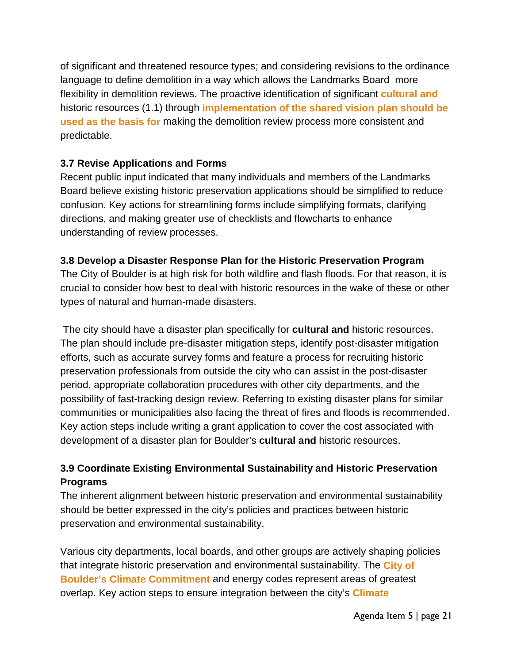of significant and threatened resource types; and considering revisions to the ordinance language to define demolition in a way which allows the Landmarks Board more flexibility in demolition reviews. The proactive identification of significant **cultural and** historic resources (1.1) through **implementation of the shared vision plan should be used as the basis for** making the demolition review process more consistent and predictable.

### **3.7 Revise Applications and Forms**

Recent public input indicated that many individuals and members of the Landmarks Board believe existing historic preservation applications should be simplified to reduce confusion. Key actions for streamlining forms include simplifying formats, clarifying directions, and making greater use of checklists and flowcharts to enhance understanding of review processes.

### **3.8 Develop a Disaster Response Plan for the Historic Preservation Program**

The City of Boulder is at high risk for both wildfire and flash floods. For that reason, it is crucial to consider how best to deal with historic resources in the wake of these or other types of natural and human-made disasters.

The city should have a disaster plan specifically for **cultural and** historic resources. The plan should include pre-disaster mitigation steps, identify post-disaster mitigation efforts, such as accurate survey forms and feature a process for recruiting historic preservation professionals from outside the city who can assist in the post-disaster period, appropriate collaboration procedures with other city departments, and the possibility of fast-tracking design review. Referring to existing disaster plans for similar communities or municipalities also facing the threat of fires and floods is recommended. Key action steps include writing a grant application to cover the cost associated with development of a disaster plan for Boulder's **cultural and** historic resources.

# **3.9 Coordinate Existing Environmental Sustainability and Historic Preservation Programs**

The inherent alignment between historic preservation and environmental sustainability should be better expressed in the city's policies and practices between historic preservation and environmental sustainability.

Various city departments, local boards, and other groups are actively shaping policies that integrate historic preservation and environmental sustainability. The **City of Boulder's Climate Commitment** and energy codes represent areas of greatest overlap. Key action steps to ensure integration between the city's **Climate**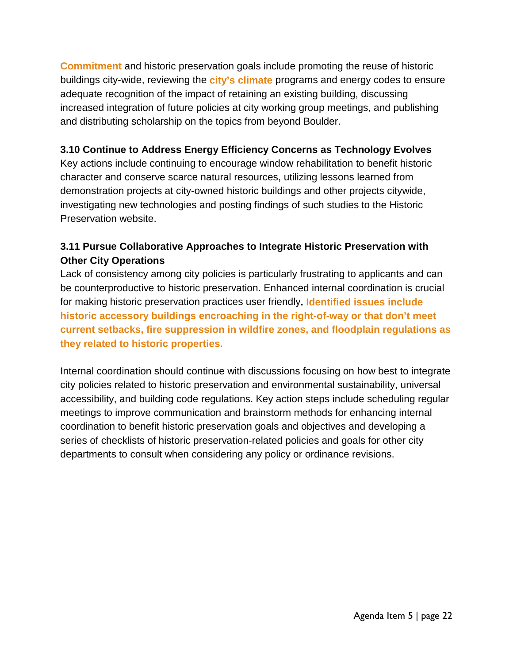**Commitment** and historic preservation goals include promoting the reuse of historic buildings city-wide, reviewing the **city's climate** programs and energy codes to ensure adequate recognition of the impact of retaining an existing building, discussing increased integration of future policies at city working group meetings, and publishing and distributing scholarship on the topics from beyond Boulder.

### **3.10 Continue to Address Energy Efficiency Concerns as Technology Evolves**

Key actions include continuing to encourage window rehabilitation to benefit historic character and conserve scarce natural resources, utilizing lessons learned from demonstration projects at city-owned historic buildings and other projects citywide, investigating new technologies and posting findings of such studies to the Historic Preservation website.

## **3.11 Pursue Collaborative Approaches to Integrate Historic Preservation with Other City Operations**

Lack of consistency among city policies is particularly frustrating to applicants and can be counterproductive to historic preservation. Enhanced internal coordination is crucial for making historic preservation practices user friendly**. Identified issues include historic accessory buildings encroaching in the right-of-way or that don't meet current setbacks, fire suppression in wildfire zones, and floodplain regulations as they related to historic properties.**

Internal coordination should continue with discussions focusing on how best to integrate city policies related to historic preservation and environmental sustainability, universal accessibility, and building code regulations. Key action steps include scheduling regular meetings to improve communication and brainstorm methods for enhancing internal coordination to benefit historic preservation goals and objectives and developing a series of checklists of historic preservation-related policies and goals for other city departments to consult when considering any policy or ordinance revisions.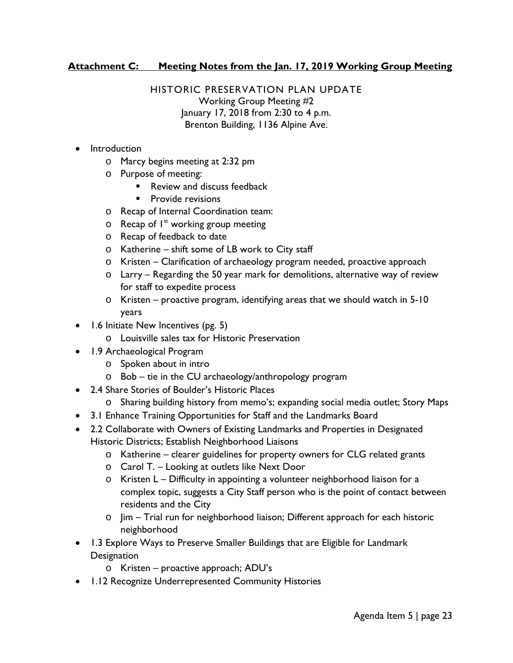#### **Attachment C: Meeting Notes from the Jan. 17, 2019 Working Group Meeting**

HISTORIC PRESERVATION PLAN UPDATE Working Group Meeting #2 January 17, 2018 from 2:30 to 4 p.m. Brenton Building, 1136 Alpine Ave.

- **Introduction** 
	- o Marcy begins meeting at 2:32 pm
	- o Purpose of meeting:
		- Review and discuss feedback
		- **Provide revisions**
	- o Recap of Internal Coordination team:
	- $\circ$  Recap of  $I^{st}$  working group meeting
	- o Recap of feedback to date
	- o Katherine shift some of LB work to City staff
	- o Kristen Clarification of archaeology program needed, proactive approach
	- o Larry Regarding the 50 year mark for demolitions, alternative way of review for staff to expedite process
	- o Kristen proactive program, identifying areas that we should watch in 5-10 years
- 1.6 Initiate New Incentives (pg. 5)
	- o Louisville sales tax for Historic Preservation
- 1.9 Archaeological Program
	- o Spoken about in intro
	- $\circ$  Bob tie in the CU archaeology/anthropology program
- 2.4 Share Stories of Boulder's Historic Places
	- o Sharing building history from memo's; expanding social media outlet; Story Maps
- 3.1 Enhance Training Opportunities for Staff and the Landmarks Board
- 2.2 Collaborate with Owners of Existing Landmarks and Properties in Designated Historic Districts; Establish Neighborhood Liaisons
	- o Katherine clearer guidelines for property owners for CLG related grants
	- o Carol T. Looking at outlets like Next Door
	- o Kristen L Difficulty in appointing a volunteer neighborhood liaison for a complex topic, suggests a City Staff person who is the point of contact between residents and the City
	- o Jim Trial run for neighborhood liaison; Different approach for each historic neighborhood
- 1.3 Explore Ways to Preserve Smaller Buildings that are Eligible for Landmark **Designation** 
	- o Kristen proactive approach; ADU's
- 1.12 Recognize Underrepresented Community Histories